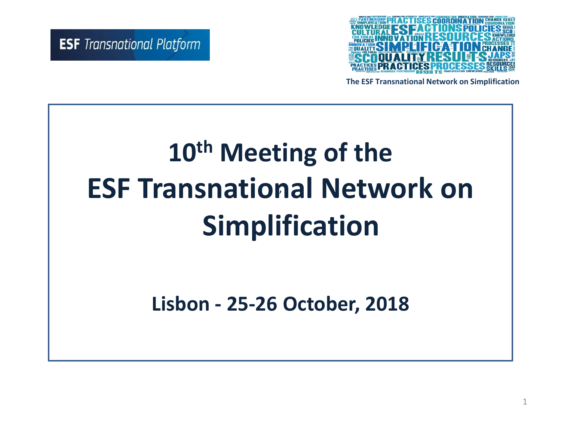

**The ESF Transnational Network on Simplification**

#### **10th Meeting of the ESF Transnational Network on Simplification**   $\sqrt{2}$

**Lisbon - 25-26 October, 2018**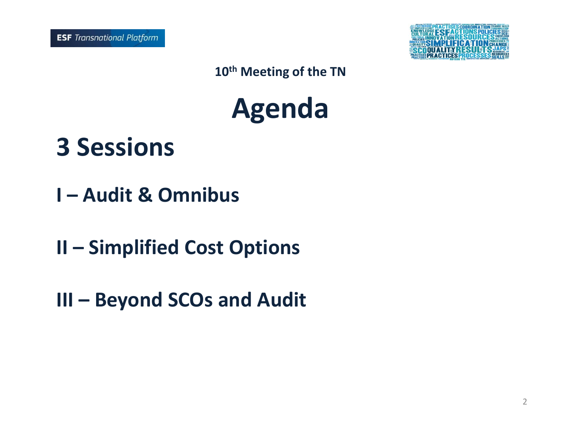

**Agenda**

**3 Sessions**

- **I – Audit & Omnibus**
- **II – Simplified Cost Options**
- **III – Beyond SCOs and Audit**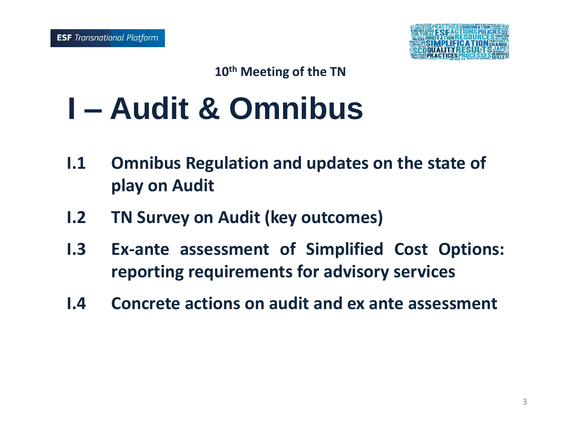

### **I – Audit & Omnibus**

- **I.1 Omnibus Regulation and updates on the state of play on Audit**
- **I.2 TN Survey on Audit (key outcomes)**
- **I.3 Ex-ante assessment of Simplified Cost Options: reporting requirements for advisory services**
- **I.4 Concrete actions on audit and ex ante assessment**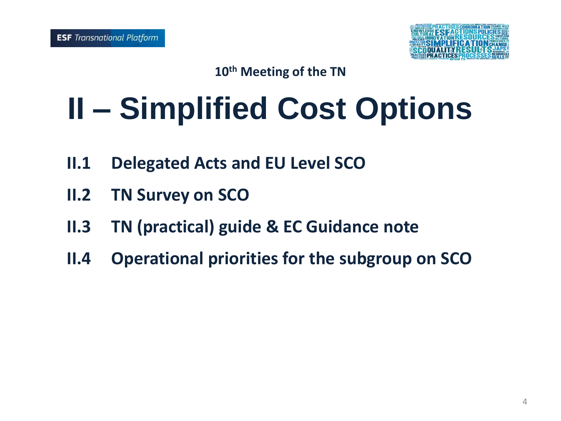

# **II – Simplified Cost Options**

- **II.1 Delegated Acts and EU Level SCO**
- **II.2 TN Survey on SCO**
- **II.3 TN (practical) guide & EC Guidance note**
- **II.4 Operational priorities for the subgroup on SCO**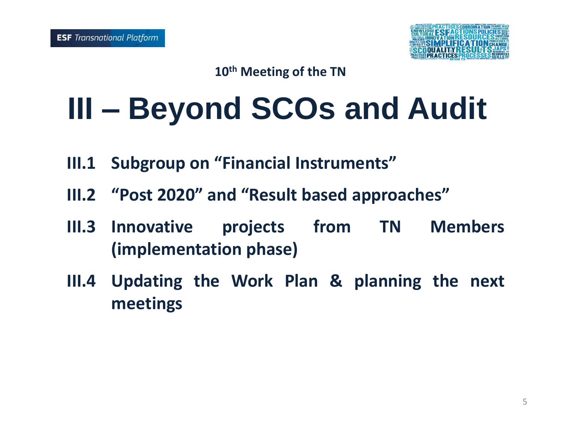

## **III – Beyond SCOs and Audit**

- **III.1 Subgroup on "Financial Instruments"**
- **III.2 "Post 2020" and "Result based approaches"**
- **III.3 Innovative projects from TN Members (implementation phase)**
- **III.4 Updating the Work Plan & planning the next meetings**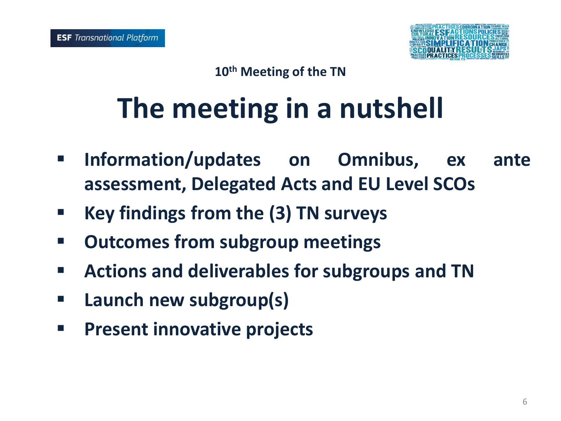

### **The meeting in a nutshell**

- **Information/updates on Omnibus, ex ante assessment, Delegated Acts and EU Level SCOs**
- **Key findings from the (3) TN surveys**
- **Outcomes from subgroup meetings**
- **Actions and deliverables for subgroups and TN**
- **Launch new subgroup(s)**
- **Present innovative projects**